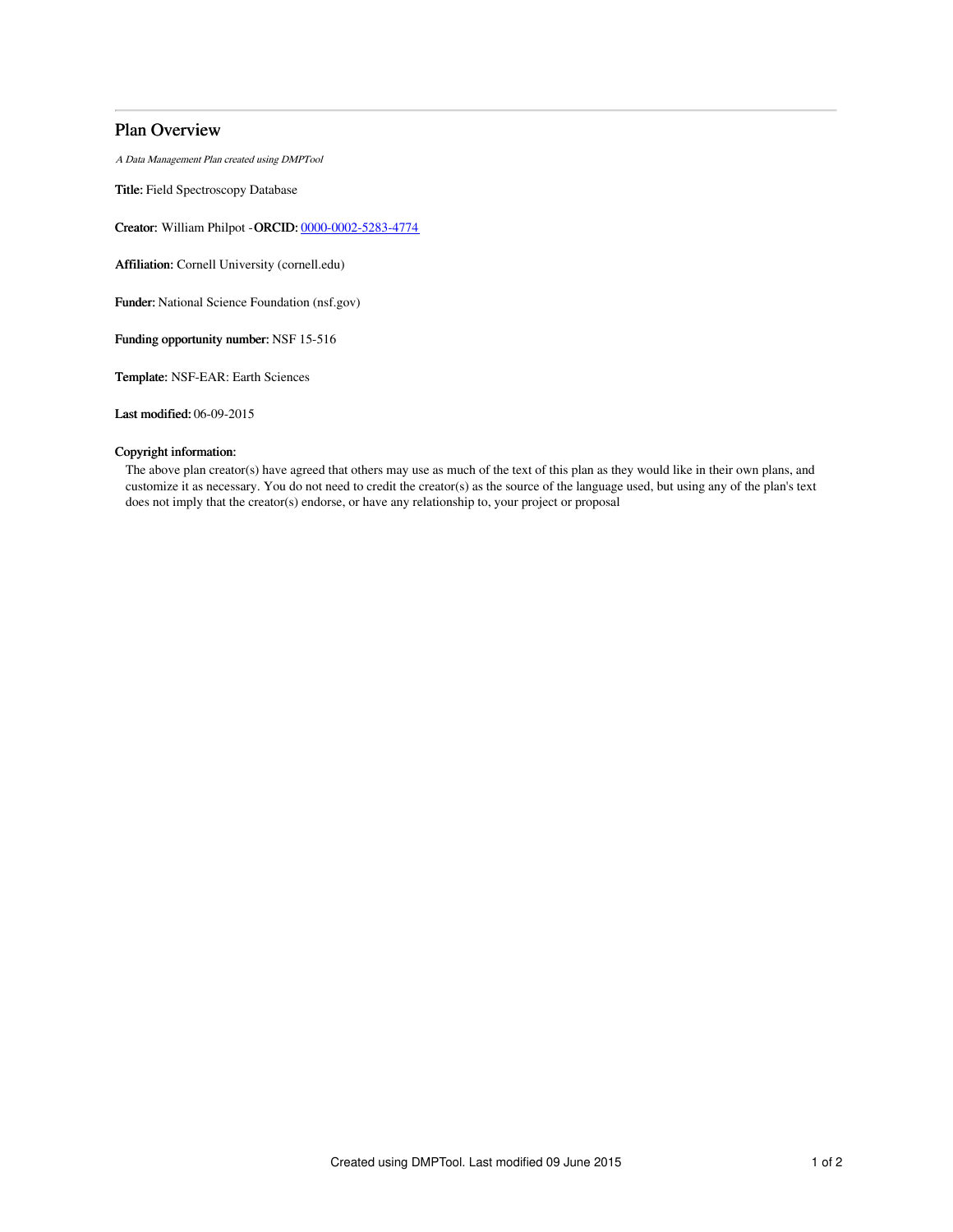# Plan Overview

A Data Management Plan created using DMPTool

Title: Field Spectroscopy Database

Creator: William Philpot -ORCID: [0000-0002-5283-4774](https://orcid.org/0000-0002-5283-4774)

Affiliation: Cornell University (cornell.edu)

Funder: National Science Foundation (nsf.gov)

Funding opportunity number: NSF 15-516

Template: NSF-EAR: Earth Sciences

Last modified: 06-09-2015

## Copyright information:

The above plan creator(s) have agreed that others may use as much of the text of this plan as they would like in their own plans, and customize it as necessary. You do not need to credit the creator(s) as the source of the language used, but using any of the plan's text does not imply that the creator(s) endorse, or have any relationship to, your project or proposal